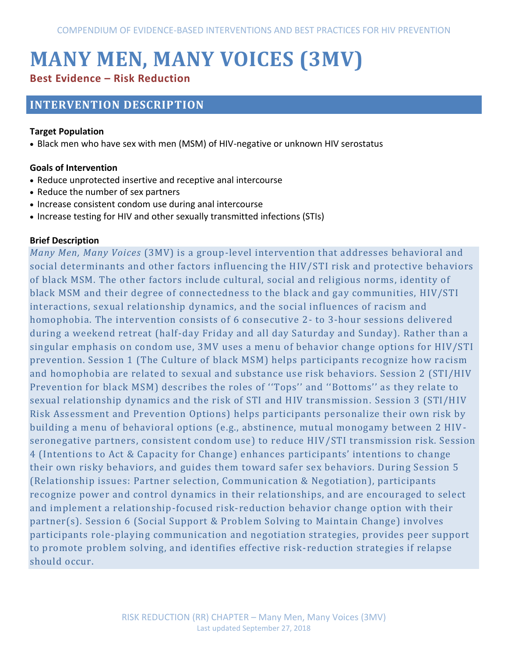# **MANY MEN, MANY VOICES (3MV) Best Evidence – Risk Reduction**

# **INTERVENTION DESCRIPTION**

#### **Target Population**

Black men who have sex with men (MSM) of HIV-negative or unknown HIV serostatus

#### **Goals of Intervention**

- Reduce unprotected insertive and receptive anal intercourse
- Reduce the number of sex partners
- Increase consistent condom use during anal intercourse
- Increase testing for HIV and other sexually transmitted infections (STIs)

#### **Brief Description**

*Many Men, Many Voices* (3MV) is a group-level intervention that addresses behavioral and social determinants and other factors influencing the HIV/STI risk and protective behaviors of black MSM. The other factors include cultural, social and religious norms, identity of black MSM and their degree of connectedness to the black and gay communities, HIV/STI interactions, sexual relationship dynamics, and the social influences of racism and homophobia. The intervention consists of 6 consecutive 2- to 3-hour sessions delivered during a weekend retreat (half-day Friday and all day Saturday and Sunday). Rather than a singular emphasis on condom use, 3MV uses a menu of behavior change options for HIV/STI prevention. Session 1 (The Culture of black MSM) helps participants recognize how racism and homophobia are related to sexual and substance use risk behaviors. Session 2 (STI/HIV Prevention for black MSM) describes the roles of ''Tops'' and ''Bottoms'' as they relate to sexual relationship dynamics and the risk of STI and HIV transmission. Session 3 (STI/HIV Risk Assessment and Prevention Options) helps participants personalize their own risk by building a menu of behavioral options (e.g., abstinence, mutual monogamy between 2 HIV seronegative partners, consistent condom use) to reduce HIV/STI transmission risk. Session 4 (Intentions to Act & Capacity for Change) enhances participants' intentions to change their own risky behaviors, and guides them toward safer sex behaviors. During Session 5 (Relationship issues: Partner selection, Communication & Negotiation), participants recognize power and control dynamics in their relationships, and are encouraged to select and implement a relationship-focused risk-reduction behavior change option with their partner(s). Session 6 (Social Support & Problem Solving to Maintain Change) involves participants role-playing communication and negotiation strategies, provides peer support to promote problem solving, and identifies effective risk-reduction strategies if relapse should occur.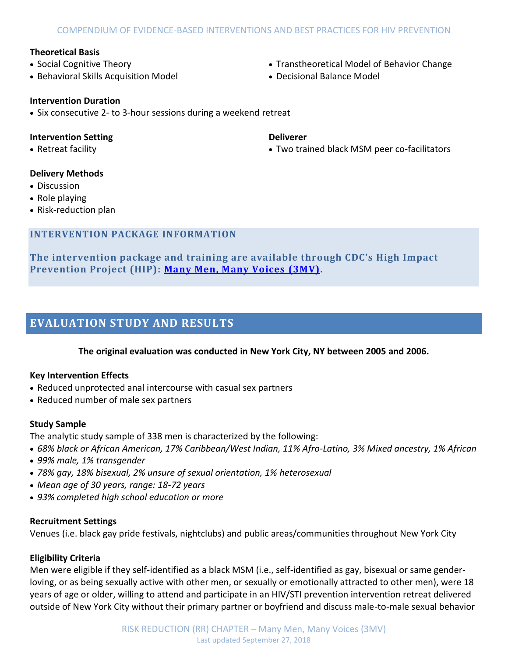#### **Theoretical Basis**

- Social Cognitive Theory
- Behavioral Skills Acquisition Model

Transtheoretical Model of Behavior Change

Two trained black MSM peer co-facilitators

Decisional Balance Model

**Deliverer**

#### **Intervention Duration**

• Six consecutive 2- to 3-hour sessions during a weekend retreat

#### **Intervention Setting**

Retreat facility

### **Delivery Methods**

- Discussion
- Role playing
- Risk-reduction plan

#### **INTERVENTION PACKAGE INFORMATION**

**The intervention package and training are available through CDC's High Impact Prevention Project (HIP): [Many Men, Many Voices \(3MV\).](https://effectiveinterventions.cdc.gov/en/2018-design/hiv-negative-persons/group-1/many-men-many-voices)**

## **EVALUATION STUDY AND RESULTS**

#### **The original evaluation was conducted in New York City, NY between 2005 and 2006.**

#### **Key Intervention Effects**

- Reduced unprotected anal intercourse with casual sex partners
- Reduced number of male sex partners

#### **Study Sample**

The analytic study sample of 338 men is characterized by the following:

- *68% black or African American, 17% Caribbean/West Indian, 11% Afro-Latino, 3% Mixed ancestry, 1% African*
- *99% male, 1% transgender*
- *78% gay, 18% bisexual, 2% unsure of sexual orientation, 1% heterosexual*
- *Mean age of 30 years, range: 18-72 years*
- *93% completed high school education or more*

#### **Recruitment Settings**

Venues (i.e. black gay pride festivals, nightclubs) and public areas/communities throughout New York City

#### **Eligibility Criteria**

Men were eligible if they self-identified as a black MSM (i.e., self-identified as gay, bisexual or same genderloving, or as being sexually active with other men, or sexually or emotionally attracted to other men), were 18 years of age or older, willing to attend and participate in an HIV/STI prevention intervention retreat delivered outside of New York City without their primary partner or boyfriend and discuss male-to-male sexual behavior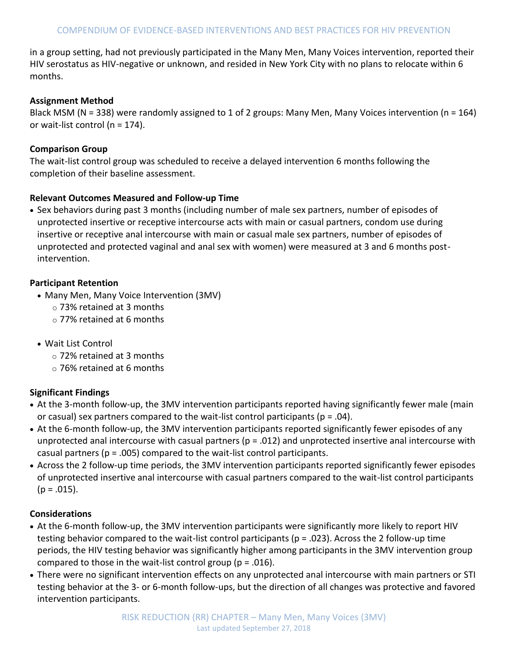in a group setting, had not previously participated in the Many Men, Many Voices intervention, reported their HIV serostatus as HIV-negative or unknown, and resided in New York City with no plans to relocate within 6 months.

#### **Assignment Method**

Black MSM (N = 338) were randomly assigned to 1 of 2 groups: Many Men, Many Voices intervention (n = 164) or wait-list control (n = 174).

#### **Comparison Group**

The wait-list control group was scheduled to receive a delayed intervention 6 months following the completion of their baseline assessment.

#### **Relevant Outcomes Measured and Follow-up Time**

 Sex behaviors during past 3 months (including number of male sex partners, number of episodes of unprotected insertive or receptive intercourse acts with main or casual partners, condom use during insertive or receptive anal intercourse with main or casual male sex partners, number of episodes of unprotected and protected vaginal and anal sex with women) were measured at 3 and 6 months postintervention.

#### **Participant Retention**

- Many Men, Many Voice Intervention (3MV)
	- o 73% retained at 3 months
	- o 77% retained at 6 months
- Wait List Control
	- o 72% retained at 3 months
	- o 76% retained at 6 months

#### **Significant Findings**

- At the 3-month follow-up, the 3MV intervention participants reported having significantly fewer male (main or casual) sex partners compared to the wait-list control participants ( $p = .04$ ).
- At the 6-month follow-up, the 3MV intervention participants reported significantly fewer episodes of any unprotected anal intercourse with casual partners ( $p = .012$ ) and unprotected insertive anal intercourse with casual partners ( $p = .005$ ) compared to the wait-list control participants.
- Across the 2 follow-up time periods, the 3MV intervention participants reported significantly fewer episodes of unprotected insertive anal intercourse with casual partners compared to the wait-list control participants  $(p = .015)$ .

#### **Considerations**

- At the 6-month follow-up, the 3MV intervention participants were significantly more likely to report HIV testing behavior compared to the wait-list control participants (p = .023). Across the 2 follow-up time periods, the HIV testing behavior was significantly higher among participants in the 3MV intervention group compared to those in the wait-list control group ( $p = .016$ ).
- There were no significant intervention effects on any unprotected anal intercourse with main partners or STI testing behavior at the 3- or 6-month follow-ups, but the direction of all changes was protective and favored intervention participants.